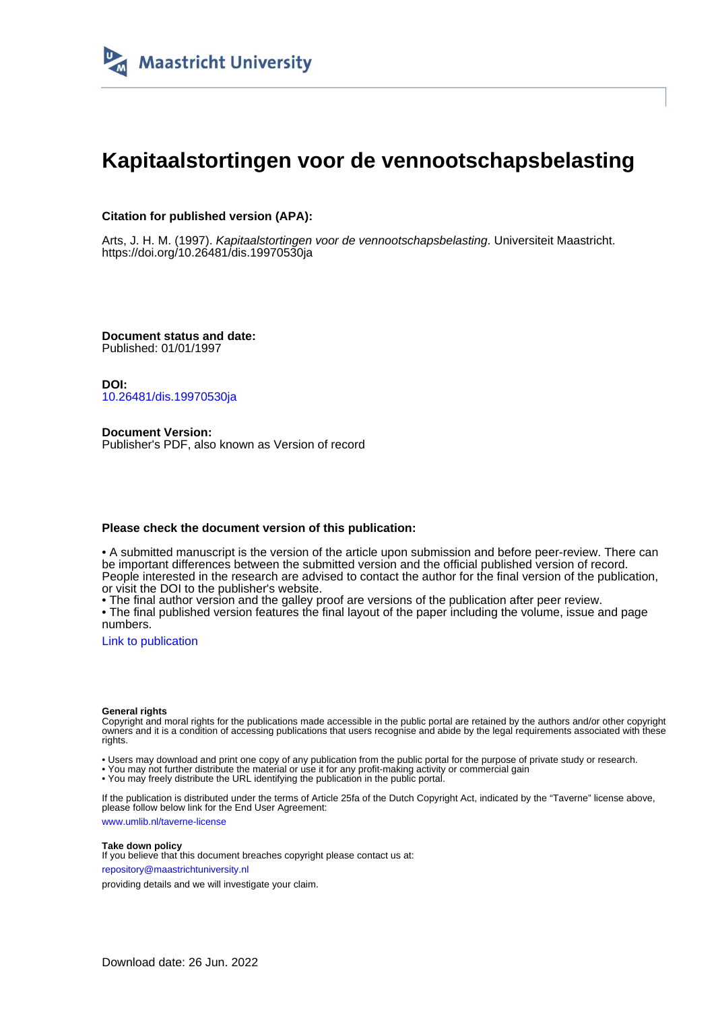

# **Kapitaalstortingen voor de vennootschapsbelasting**

## **Citation for published version (APA):**

Arts, J. H. M. (1997). Kapitaalstortingen voor de vennootschapsbelasting. Universiteit Maastricht. <https://doi.org/10.26481/dis.19970530ja>

**Document status and date:** Published: 01/01/1997

**DOI:** [10.26481/dis.19970530ja](https://doi.org/10.26481/dis.19970530ja)

**Document Version:** Publisher's PDF, also known as Version of record

### **Please check the document version of this publication:**

• A submitted manuscript is the version of the article upon submission and before peer-review. There can be important differences between the submitted version and the official published version of record. People interested in the research are advised to contact the author for the final version of the publication, or visit the DOI to the publisher's website.

• The final author version and the galley proof are versions of the publication after peer review.

• The final published version features the final layout of the paper including the volume, issue and page numbers.

[Link to publication](https://cris.maastrichtuniversity.nl/en/publications/c4cbf572-ee73-4735-9d58-976ecc44da5b)

#### **General rights**

Copyright and moral rights for the publications made accessible in the public portal are retained by the authors and/or other copyright owners and it is a condition of accessing publications that users recognise and abide by the legal requirements associated with these rights.

• Users may download and print one copy of any publication from the public portal for the purpose of private study or research.

• You may not further distribute the material or use it for any profit-making activity or commercial gain

• You may freely distribute the URL identifying the publication in the public portal.

If the publication is distributed under the terms of Article 25fa of the Dutch Copyright Act, indicated by the "Taverne" license above, please follow below link for the End User Agreement:

www.umlib.nl/taverne-license

#### **Take down policy**

If you believe that this document breaches copyright please contact us at: repository@maastrichtuniversity.nl

providing details and we will investigate your claim.